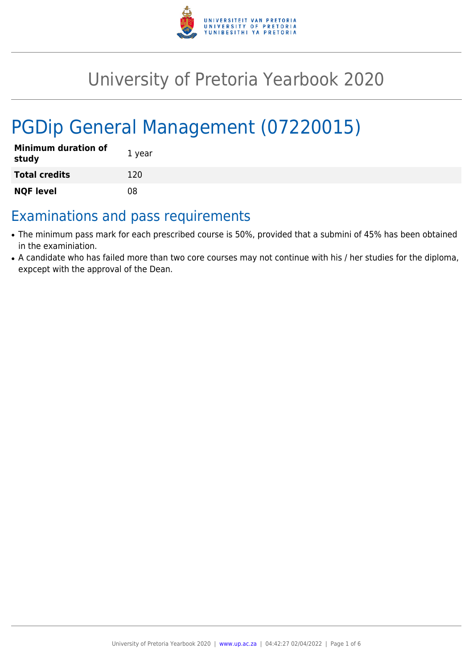

## University of Pretoria Yearbook 2020

# PGDip General Management (07220015)

| <b>Minimum duration of</b><br>study | 1 year |
|-------------------------------------|--------|
| <b>Total credits</b>                | 120    |
| <b>NQF level</b>                    | 08     |

### Examinations and pass requirements

- The minimum pass mark for each prescribed course is 50%, provided that a submini of 45% has been obtained in the examiniation.
- A candidate who has failed more than two core courses may not continue with his / her studies for the diploma, expcept with the approval of the Dean.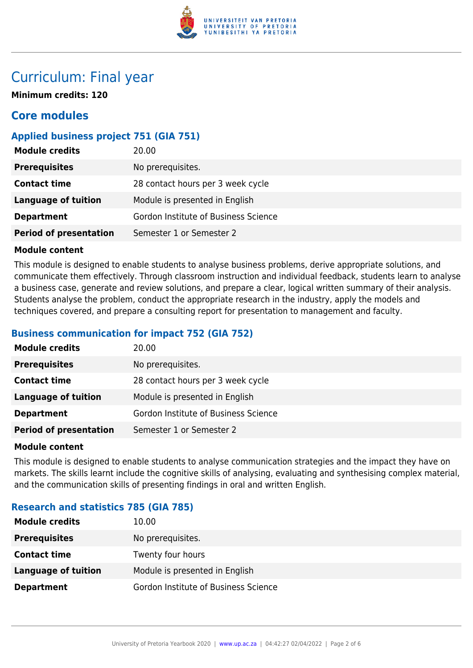

## Curriculum: Final year

**Minimum credits: 120**

### **Core modules**

#### **Applied business project 751 (GIA 751)**

| <b>Module credits</b>         | 20.00                                |
|-------------------------------|--------------------------------------|
| <b>Prerequisites</b>          | No prerequisites.                    |
| <b>Contact time</b>           | 28 contact hours per 3 week cycle    |
| Language of tuition           | Module is presented in English       |
| <b>Department</b>             | Gordon Institute of Business Science |
| <b>Period of presentation</b> | Semester 1 or Semester 2             |

#### **Module content**

This module is designed to enable students to analyse business problems, derive appropriate solutions, and communicate them effectively. Through classroom instruction and individual feedback, students learn to analyse a business case, generate and review solutions, and prepare a clear, logical written summary of their analysis. Students analyse the problem, conduct the appropriate research in the industry, apply the models and techniques covered, and prepare a consulting report for presentation to management and faculty.

#### **Business communication for impact 752 (GIA 752)**

| <b>Module credits</b>         | 20.00                                |
|-------------------------------|--------------------------------------|
| <b>Prerequisites</b>          | No prerequisites.                    |
| <b>Contact time</b>           | 28 contact hours per 3 week cycle    |
| Language of tuition           | Module is presented in English       |
| <b>Department</b>             | Gordon Institute of Business Science |
| <b>Period of presentation</b> | Semester 1 or Semester 2             |

#### **Module content**

This module is designed to enable students to analyse communication strategies and the impact they have on markets. The skills learnt include the cognitive skills of analysing, evaluating and synthesising complex material, and the communication skills of presenting findings in oral and written English.

#### **Research and statistics 785 (GIA 785)**

| <b>Module credits</b> | 10.00                                |
|-----------------------|--------------------------------------|
| <b>Prerequisites</b>  | No prerequisites.                    |
| <b>Contact time</b>   | Twenty four hours                    |
| Language of tuition   | Module is presented in English       |
| <b>Department</b>     | Gordon Institute of Business Science |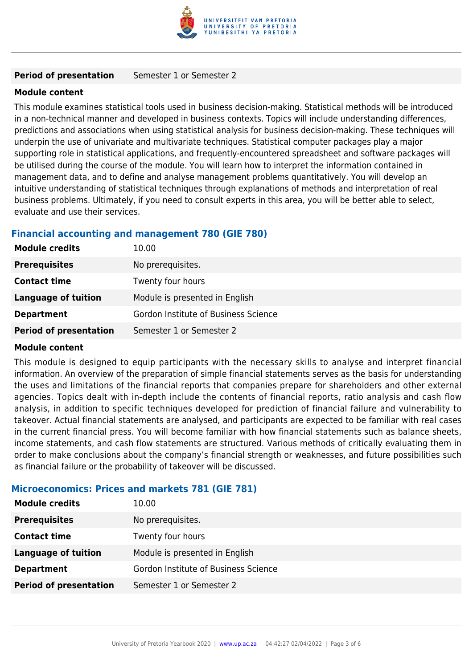

#### **Period of presentation** Semester 1 or Semester 2

#### **Module content**

This module examines statistical tools used in business decision-making. Statistical methods will be introduced in a non-technical manner and developed in business contexts. Topics will include understanding differences, predictions and associations when using statistical analysis for business decision-making. These techniques will underpin the use of univariate and multivariate techniques. Statistical computer packages play a major supporting role in statistical applications, and frequently-encountered spreadsheet and software packages will be utilised during the course of the module. You will learn how to interpret the information contained in management data, and to define and analyse management problems quantitatively. You will develop an intuitive understanding of statistical techniques through explanations of methods and interpretation of real business problems. Ultimately, if you need to consult experts in this area, you will be better able to select, evaluate and use their services.

#### **Financial accounting and management 780 (GIE 780)**

| <b>Module credits</b>         | 10.00                                |
|-------------------------------|--------------------------------------|
| <b>Prerequisites</b>          | No prerequisites.                    |
| <b>Contact time</b>           | Twenty four hours                    |
| <b>Language of tuition</b>    | Module is presented in English       |
| <b>Department</b>             | Gordon Institute of Business Science |
| <b>Period of presentation</b> | Semester 1 or Semester 2             |

#### **Module content**

This module is designed to equip participants with the necessary skills to analyse and interpret financial information. An overview of the preparation of simple financial statements serves as the basis for understanding the uses and limitations of the financial reports that companies prepare for shareholders and other external agencies. Topics dealt with in-depth include the contents of financial reports, ratio analysis and cash flow analysis, in addition to specific techniques developed for prediction of financial failure and vulnerability to takeover. Actual financial statements are analysed, and participants are expected to be familiar with real cases in the current financial press. You will become familiar with how financial statements such as balance sheets, income statements, and cash flow statements are structured. Various methods of critically evaluating them in order to make conclusions about the company's financial strength or weaknesses, and future possibilities such as financial failure or the probability of takeover will be discussed.

#### **Microeconomics: Prices and markets 781 (GIE 781)**

| <b>Module credits</b>         | 10.00                                |
|-------------------------------|--------------------------------------|
| <b>Prerequisites</b>          | No prerequisites.                    |
| <b>Contact time</b>           | Twenty four hours                    |
| <b>Language of tuition</b>    | Module is presented in English       |
| <b>Department</b>             | Gordon Institute of Business Science |
| <b>Period of presentation</b> | Semester 1 or Semester 2             |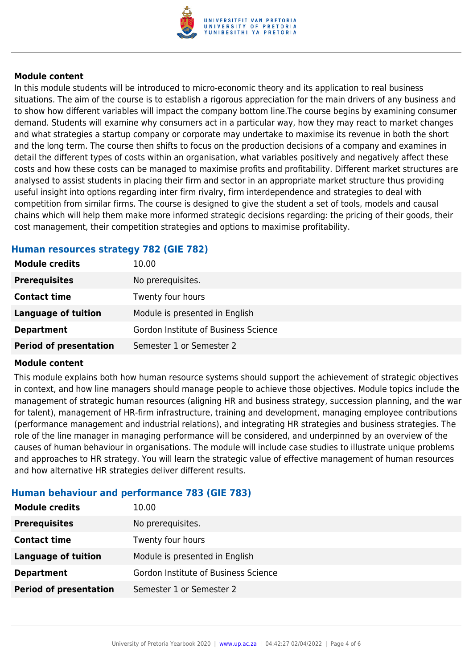

#### **Module content**

In this module students will be introduced to micro-economic theory and its application to real business situations. The aim of the course is to establish a rigorous appreciation for the main drivers of any business and to show how different variables will impact the company bottom line.The course begins by examining consumer demand. Students will examine why consumers act in a particular way, how they may react to market changes and what strategies a startup company or corporate may undertake to maximise its revenue in both the short and the long term. The course then shifts to focus on the production decisions of a company and examines in detail the different types of costs within an organisation, what variables positively and negatively affect these costs and how these costs can be managed to maximise profits and profitability. Different market structures are analysed to assist students in placing their firm and sector in an appropriate market structure thus providing useful insight into options regarding inter firm rivalry, firm interdependence and strategies to deal with competition from similar firms. The course is designed to give the student a set of tools, models and causal chains which will help them make more informed strategic decisions regarding: the pricing of their goods, their cost management, their competition strategies and options to maximise profitability.

#### **Human resources strategy 782 (GIE 782)**

| <b>Module credits</b>         | 10.00                                |
|-------------------------------|--------------------------------------|
| <b>Prerequisites</b>          | No prerequisites.                    |
| <b>Contact time</b>           | Twenty four hours                    |
| <b>Language of tuition</b>    | Module is presented in English       |
| <b>Department</b>             | Gordon Institute of Business Science |
| <b>Period of presentation</b> | Semester 1 or Semester 2             |

#### **Module content**

This module explains both how human resource systems should support the achievement of strategic objectives in context, and how line managers should manage people to achieve those objectives. Module topics include the management of strategic human resources (aligning HR and business strategy, succession planning, and the war for talent), management of HR-firm infrastructure, training and development, managing employee contributions (performance management and industrial relations), and integrating HR strategies and business strategies. The role of the line manager in managing performance will be considered, and underpinned by an overview of the causes of human behaviour in organisations. The module will include case studies to illustrate unique problems and approaches to HR strategy. You will learn the strategic value of effective management of human resources and how alternative HR strategies deliver different results.

#### **Human behaviour and performance 783 (GIE 783)**

| 10.00                                |
|--------------------------------------|
| No prerequisites.                    |
| Twenty four hours                    |
| Module is presented in English       |
| Gordon Institute of Business Science |
| Semester 1 or Semester 2             |
|                                      |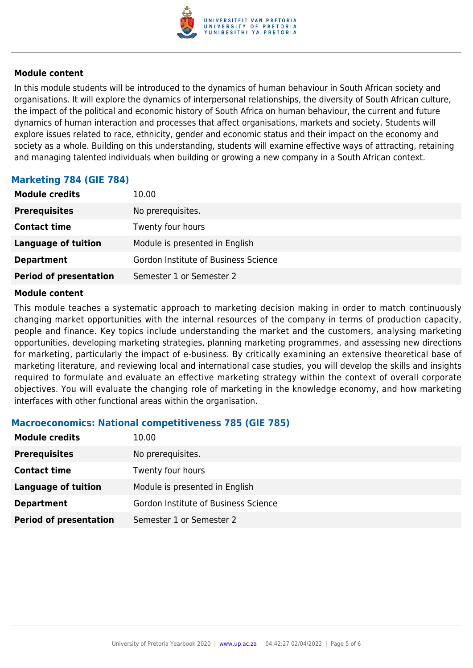

#### **Module content**

In this module students will be introduced to the dynamics of human behaviour in South African society and organisations. It will explore the dynamics of interpersonal relationships, the diversity of South African culture, the impact of the political and economic history of South Africa on human behaviour, the current and future dynamics of human interaction and processes that affect organisations, markets and society. Students will explore issues related to race, ethnicity, gender and economic status and their impact on the economy and society as a whole. Building on this understanding, students will examine effective ways of attracting, retaining and managing talented individuals when building or growing a new company in a South African context.

#### **Marketing 784 (GIE 784)**

| <b>Module credits</b>         | 10.00                                |
|-------------------------------|--------------------------------------|
| <b>Prerequisites</b>          | No prerequisites.                    |
| <b>Contact time</b>           | Twenty four hours                    |
| <b>Language of tuition</b>    | Module is presented in English       |
| <b>Department</b>             | Gordon Institute of Business Science |
| <b>Period of presentation</b> | Semester 1 or Semester 2             |

#### **Module content**

This module teaches a systematic approach to marketing decision making in order to match continuously changing market opportunities with the internal resources of the company in terms of production capacity, people and finance. Key topics include understanding the market and the customers, analysing marketing opportunities, developing marketing strategies, planning marketing programmes, and assessing new directions for marketing, particularly the impact of e-business. By critically examining an extensive theoretical base of marketing literature, and reviewing local and international case studies, you will develop the skills and insights required to formulate and evaluate an effective marketing strategy within the context of overall corporate objectives. You will evaluate the changing role of marketing in the knowledge economy, and how marketing interfaces with other functional areas within the organisation.

#### **Macroeconomics: National competitiveness 785 (GIE 785)**

| <b>Module credits</b>         | 10.00                                |
|-------------------------------|--------------------------------------|
| <b>Prerequisites</b>          | No prerequisites.                    |
| <b>Contact time</b>           | Twenty four hours                    |
| <b>Language of tuition</b>    | Module is presented in English       |
| <b>Department</b>             | Gordon Institute of Business Science |
| <b>Period of presentation</b> | Semester 1 or Semester 2             |